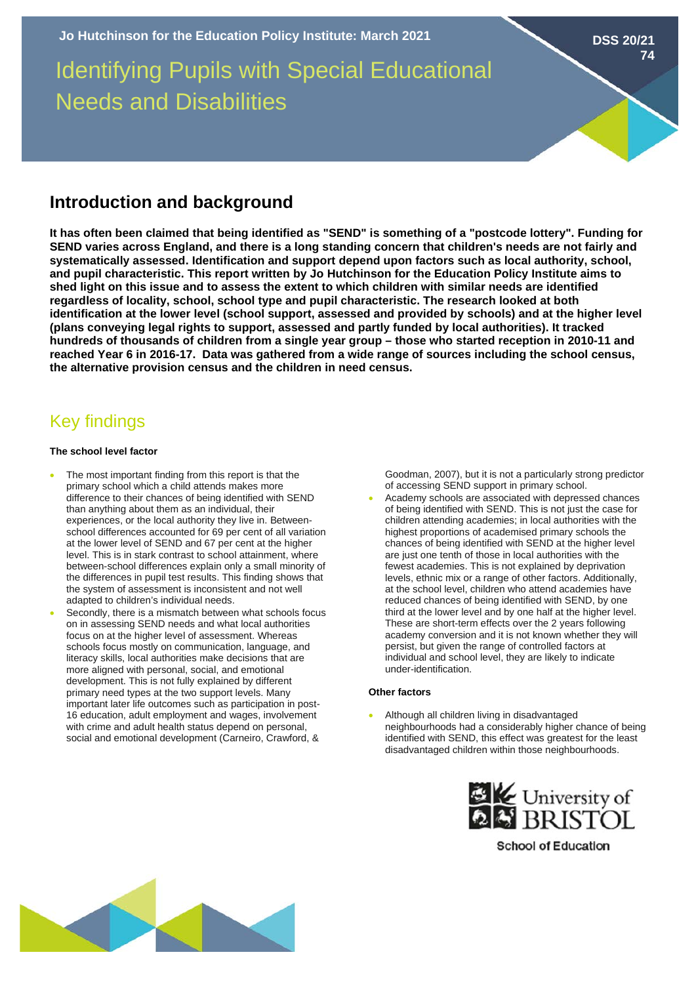# Identifying Pupils with Special Educational Needs and Disabilities

### **Introduction and background**

**It has often been claimed that being identified as "SEND" is something of a "postcode lottery". Funding for SEND varies across England, and there is a long standing concern that children's needs are not fairly and systematically assessed. Identification and support depend upon factors such as local authority, school, and pupil characteristic. This report written by Jo Hutchinson for the Education Policy Institute aims to shed light on this issue and to assess the extent to which children with similar needs are identified regardless of locality, school, school type and pupil characteristic. The research looked at both identification at the lower level (school support, assessed and provided by schools) and at the higher level (plans conveying legal rights to support, assessed and partly funded by local authorities). It tracked hundreds of thousands of children from a single year group – those who started reception in 2010-11 and reached Year 6 in 2016-17. Data was gathered from a wide range of sources including the school census, the alternative provision census and the children in need census.** 

## Key findings

#### **The school level factor**

- The most important finding from this report is that the primary school which a child attends makes more difference to their chances of being identified with SEND than anything about them as an individual, their experiences, or the local authority they live in. Betweenschool differences accounted for 69 per cent of all variation at the lower level of SEND and 67 per cent at the higher level. This is in stark contrast to school attainment, where between-school differences explain only a small minority of the differences in pupil test results. This finding shows that the system of assessment is inconsistent and not well adapted to children's individual needs.
- Secondly, there is a mismatch between what schools focus on in assessing SEND needs and what local authorities focus on at the higher level of assessment. Whereas schools focus mostly on communication, language, and literacy skills, local authorities make decisions that are more aligned with personal, social, and emotional development. This is not fully explained by different primary need types at the two support levels. Many important later life outcomes such as participation in post-16 education, adult employment and wages, involvement with crime and adult health status depend on personal, social and emotional development (Carneiro, Crawford, &

Goodman, 2007), but it is not a particularly strong predictor of accessing SEND support in primary school.

**DSS 20/21**

**74**

• Academy schools are associated with depressed chances of being identified with SEND. This is not just the case for children attending academies; in local authorities with the highest proportions of academised primary schools the chances of being identified with SEND at the higher level are just one tenth of those in local authorities with the fewest academies. This is not explained by deprivation levels, ethnic mix or a range of other factors. Additionally, at the school level, children who attend academies have reduced chances of being identified with SEND, by one third at the lower level and by one half at the higher level. These are short-term effects over the 2 years following academy conversion and it is not known whether they will persist, but given the range of controlled factors at individual and school level, they are likely to indicate under-identification.

#### **Other factors**

• Although all children living in disadvantaged neighbourhoods had a considerably higher chance of being identified with SEND, this effect was greatest for the least disadvantaged children within those neighbourhoods.



**School of Education**